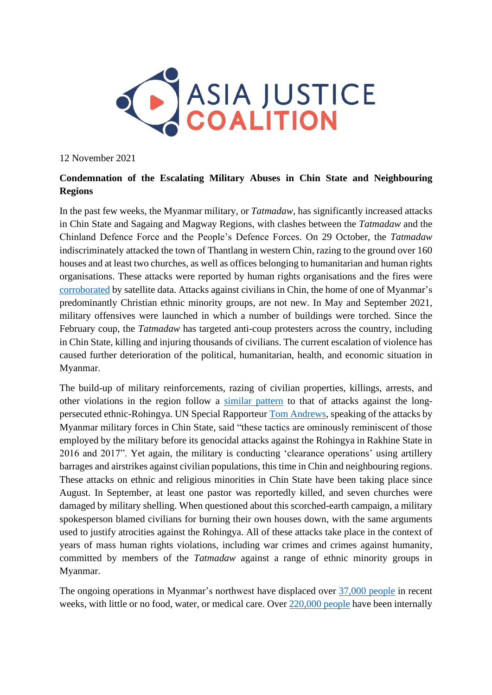

12 November 2021

## **Condemnation of the Escalating Military Abuses in Chin State and Neighbouring Regions**

In the past few weeks, the Myanmar military, or *Tatmadaw*, has significantly increased attacks in Chin State and Sagaing and Magway Regions, with clashes between the *Tatmadaw* and the Chinland Defence Force and the People's Defence Forces. On 29 October, the *Tatmadaw* indiscriminately attacked the town of Thantlang in western Chin, razing to the ground over 160 houses and at least two churches, as well as offices belonging to humanitarian and human rights organisations. These attacks were reported by human rights organisations and the fires were [corroborated](https://www.hrw.org/news/2021/11/03/satellite-data-raise-fears-myanmars-army-setting-towns-ablaze) by satellite data. Attacks against civilians in Chin, the home of one of Myanmar's predominantly Christian ethnic minority groups, are not new. In May and September 2021, military offensives were launched in which a number of buildings were torched. Since the February coup, the *Tatmadaw* has targeted anti-coup protesters across the country, including in Chin State, killing and injuring thousands of civilians. The current escalation of violence has caused further deterioration of the political, humanitarian, health, and economic situation in Myanmar.

The build-up of military reinforcements, razing of civilian properties, killings, arrests, and other violations in the region follow a [similar pattern](https://www.hrw.org/news/2021/11/04/myanmar-another-wave-atrocity-crimes-chin-state) to that of attacks against the longpersecuted ethnic-Rohingya. UN Special Rapporteur [Tom Andrews,](https://drive.google.com/file/d/1vD0jy4lfcoGjY9R9i3XyAVmsFQEDbPXF/view) speaking of the attacks by Myanmar military forces in Chin State, said "these tactics are ominously reminiscent of those employed by the military before its genocidal attacks against the Rohingya in Rakhine State in 2016 and 2017". Yet again, the military is conducting 'clearance operations' using artillery barrages and airstrikes against civilian populations, this time in Chin and neighbouring regions. These attacks on ethnic and religious minorities in Chin State have been taking place since August. In September, at least one pastor was reportedly killed, and seven churches were damaged by military shelling. When questioned about this scorched-earth campaign, a military spokesperson blamed civilians for burning their own houses down, with the same arguments used to justify atrocities against the Rohingya. All of these attacks take place in the context of years of mass human rights violations, including war crimes and crimes against humanity, committed by members of the *Tatmadaw* against a range of ethnic minority groups in Myanmar.

The ongoing operations in Myanmar's northwest have displaced over [37,000 people](https://reliefweb.int/report/myanmar/statement-erc-martin-griffiths-regarding-increasing-violence-and-humanitarian-need) in recent weeks, with little or no food, water, or medical care. Over [220,000 people](https://data2.unhcr.org/en/documents/details/89473) have been internally